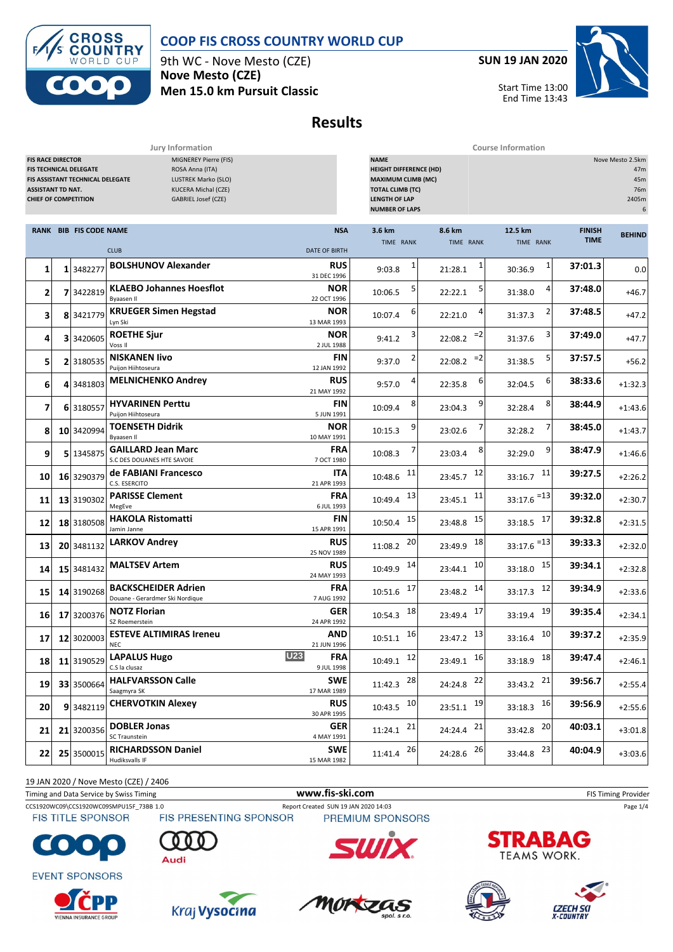



9th WC - Nove Mesto (CZE) **Nove Mesto (CZE) Men 15.0 km Pursuit Classic** **SUN 19 JAN 2020**



Start Time 13:00 End Time 13:43

# **Results**

**Jury Information Course Information**

| <b>FIS RACE DIRECTOR</b><br><b>ASSISTANT TD NAT.</b><br><b>CHIEF OF COMPETITION</b> |   | <b>FIS TECHNICAL DELEGATE</b><br>FIS ASSISTANT TECHNICAL DELEGATE | MIGNEREY Pierre (FIS)<br>ROSA Anna (ITA)<br>LUSTREK Marko (SLO)<br>KUCERA Michal (CZE)<br>GABRIEL Josef (CZE) |                                    | <b>NAME</b><br><b>HEIGHT DIFFERENCE (HD)</b><br><b>MAXIMUM CLIMB (MC)</b><br><b>TOTAL CLIMB (TC)</b><br><b>LENGTH OF LAP</b><br><b>NUMBER OF LAPS</b> |                         |                          |                              | Nove Mesto 2.5km<br>47m<br>45m<br>76m<br>2405m<br>6 |
|-------------------------------------------------------------------------------------|---|-------------------------------------------------------------------|---------------------------------------------------------------------------------------------------------------|------------------------------------|-------------------------------------------------------------------------------------------------------------------------------------------------------|-------------------------|--------------------------|------------------------------|-----------------------------------------------------|
|                                                                                     |   | RANK BIB FIS CODE NAME                                            | <b>CLUB</b>                                                                                                   | <b>NSA</b><br><b>DATE OF BIRTH</b> | 3.6 km<br>TIME RANK                                                                                                                                   | 8.6 km<br>TIME RANK     | 12.5 km<br>TIME RANK     | <b>FINISH</b><br><b>TIME</b> | <b>BEHIND</b>                                       |
| $\mathbf{1}$                                                                        |   | 1 3482277                                                         | <b>BOLSHUNOV Alexander</b>                                                                                    | <b>RUS</b><br>31 DEC 1996          | 1<br>9:03.8                                                                                                                                           | 21:28.1                 | $\mathbf{1}$<br>30:36.9  | 37:01.3                      | 0.0                                                 |
| 2                                                                                   |   | 7 3422819                                                         | <b>KLAEBO Johannes Hoesflot</b><br><b>Byaasen II</b>                                                          | NOR<br>22 OCT 1996                 | 5<br>10:06.5                                                                                                                                          | 22:22.1                 | 4<br>31:38.0             | 37:48.0                      | $+46.7$                                             |
| 3                                                                                   | 8 | 3421779                                                           | <b>KRUEGER Simen Hegstad</b><br>Lyn Ski                                                                       | <b>NOR</b><br>13 MAR 1993          | 6<br>10:07.4                                                                                                                                          | 22:21.0                 | 31:37.3                  | 37:48.5                      | $+47.2$                                             |
| 4                                                                                   |   | 3 3420605                                                         | <b>ROETHE Sjur</b><br>Voss II                                                                                 | <b>NOR</b><br>2 JUL 1988           | 3<br>9:41.2                                                                                                                                           | $=2$<br>22:08.2         | 3<br>31:37.6             | 37:49.0                      | $+47.7$                                             |
| 5                                                                                   |   | 2 3180535                                                         | <b>NISKANEN livo</b><br>Puijon Hiihtoseura                                                                    | FIN<br>12 JAN 1992                 | 9:37.0                                                                                                                                                | $=2$<br>22:08.2         | 5<br>31:38.5             | 37:57.5                      | $+56.2$                                             |
| 6                                                                                   | 4 | 3481803                                                           | <b>MELNICHENKO Andrey</b>                                                                                     | <b>RUS</b><br>21 MAY 1992          | 9:57.0                                                                                                                                                | 6<br>22:35.8            | 6<br>32:04.5             | 38:33.6                      | $+1:32.3$                                           |
| 7                                                                                   |   | 6 3180557                                                         | <b>HYVARINEN Perttu</b><br>Puijon Hiihtoseura                                                                 | FIN<br>5 JUN 1991                  | 8<br>10:09.4                                                                                                                                          | 9<br>23:04.3            | 8<br>32:28.4             | 38:44.9                      | $+1:43.6$                                           |
| 8                                                                                   |   | 10 3420994                                                        | <b>TOENSETH Didrik</b><br>Byaasen II                                                                          | <b>NOR</b><br>10 MAY 1991          | 9<br>10:15.3                                                                                                                                          | 23:02.6                 | 32:28.2                  | 38:45.0                      | $+1:43.7$                                           |
| 9                                                                                   |   | 5 1345875                                                         | <b>GAILLARD Jean Marc</b><br>S.C DES DOUANES HTE SAVOIE                                                       | <b>FRA</b><br>7 OCT 1980           | 10:08.3                                                                                                                                               | 8<br>23:03.4            | 9<br>32:29.0             | 38:47.9                      | $+1:46.6$                                           |
| 10                                                                                  |   | 16 3290379                                                        | de FABIANI Francesco<br>C.S. ESERCITO                                                                         | ITA<br>21 APR 1993                 | 11<br>10:48.6                                                                                                                                         | 12<br>23:45.7           | 11<br>33:16.7            | 39:27.5                      | $+2:26.2$                                           |
| 11                                                                                  |   | 13 3190302                                                        | <b>PARISSE Clement</b><br>MegEve                                                                              | <b>FRA</b><br>6 JUL 1993           | 13<br>10:49.4                                                                                                                                         | 11<br>23:45.1           | $33:17.6$ <sup>=13</sup> | 39:32.0                      | $+2:30.7$                                           |
| 12                                                                                  |   | 18 3180508                                                        | <b>HAKOLA Ristomatti</b><br>Jamin Janne                                                                       | FIN<br>15 APR 1991                 | 15<br>10:50.4                                                                                                                                         | 15<br>23:48.8           | 17<br>33:18.5            | 39:32.8                      | $+2:31.5$                                           |
| 13                                                                                  |   | 20 3481132                                                        | <b>LARKOV Andrey</b>                                                                                          | <b>RUS</b><br>25 NOV 1989          | 20<br>11:08.2                                                                                                                                         | 18<br>23:49.9           | $33:17.6$ <sup>=13</sup> | 39:33.3                      | $+2:32.0$                                           |
| 14                                                                                  |   | 15 3481432                                                        | <b>MALTSEV Artem</b>                                                                                          | <b>RUS</b><br>24 MAY 1993          | 14<br>10:49.9                                                                                                                                         | 10<br>23:44.1           | 15<br>33:18.0            | 39:34.1                      | $+2:32.8$                                           |
| 15                                                                                  |   | 14 3190268                                                        | <b>BACKSCHEIDER Adrien</b><br>Douane - Gerardmer Ski Nordique                                                 | <b>FRA</b><br>7 AUG 1992           | 17<br>10:51.6                                                                                                                                         | 14<br>23:48.2           | 12<br>33:17.3            | 39:34.9                      | $+2:33.6$                                           |
| 16                                                                                  |   | 17 3200376                                                        | <b>NOTZ Florian</b><br>SZ Roemerstein                                                                         | GER<br>24 APR 1992                 | 18<br>10:54.3                                                                                                                                         | 17<br>23:49.4           | 19<br>33:19.4            | 39:35.4                      | $+2:34.1$                                           |
| 17                                                                                  |   | 12 3020003                                                        | <b>ESTEVE ALTIMIRAS Ireneu</b><br><b>NEC</b>                                                                  | AND<br>21 JUN 1996                 | 16<br>10:51.1                                                                                                                                         | 13<br>23:47.2           | 10<br>33:16.4            | 39:37.2                      | $+2:35.9$                                           |
| 18                                                                                  |   | 11 3190529                                                        | U23<br><b>LAPALUS Hugo</b><br>C.S la clusaz                                                                   | <b>FRA</b><br>9 JUL 1998           | $10:49.1$ 12                                                                                                                                          | $23:49.1$ 16            | 33:18.9 18               | 39:47.4                      | $+2:46.1$                                           |
| 19                                                                                  |   | 33 3500664                                                        | <b>HALFVARSSON Calle</b><br>Saagmyra SK                                                                       | <b>SWE</b><br>17 MAR 1989          | $11:42.3$ <sup>28</sup>                                                                                                                               | 24:24.8 22              | 33:43.2 21               | 39:56.7                      | $+2:55.4$                                           |
| 20                                                                                  |   | 9 3482119                                                         | <b>CHERVOTKIN Alexey</b>                                                                                      | <b>RUS</b><br>30 APR 1995          | $10:43.5$ <sup>10</sup>                                                                                                                               | 23:51.1 19              | $33:18.3$ 16             | 39:56.9                      | $+2:55.6$                                           |
| 21                                                                                  |   | 21 3200356                                                        | <b>DOBLER Jonas</b><br>SC Traunstein                                                                          | <b>GER</b><br>4 MAY 1991           | $11:24.1$ 21                                                                                                                                          | $24:24.4$ <sup>21</sup> | 33:42.8 20               | 40:03.1                      | $+3:01.8$                                           |
| 22                                                                                  |   | 25 3500015                                                        | <b>RICHARDSSON Daniel</b><br>Hudiksvalls IF                                                                   | <b>SWE</b><br>15 MAR 1982          | 11:41.4 26                                                                                                                                            | 24:28.6 26              | 33:44.8 23               | 40:04.9                      | $+3:03.6$                                           |

19 JAN 2020 / Nove Mesto (CZE) / 2406

Timing and Data Service by Swiss Timing **WWW.fis-Ski.com WWW.fis-Ski.com** FIS Timing Provider

CCS1920WC09\CCS1920WC09SMPU15F\_73BB 1.0 Report Created SUN 19 JAN 2020 14:03 Page 1/4<br>FIS TITLE SPONSOR FIS PRESENTING SPONSOR PREMIUM SPONSORS **FIS TITLE SPONSOR** 



**EVENT SPONSORS** 

















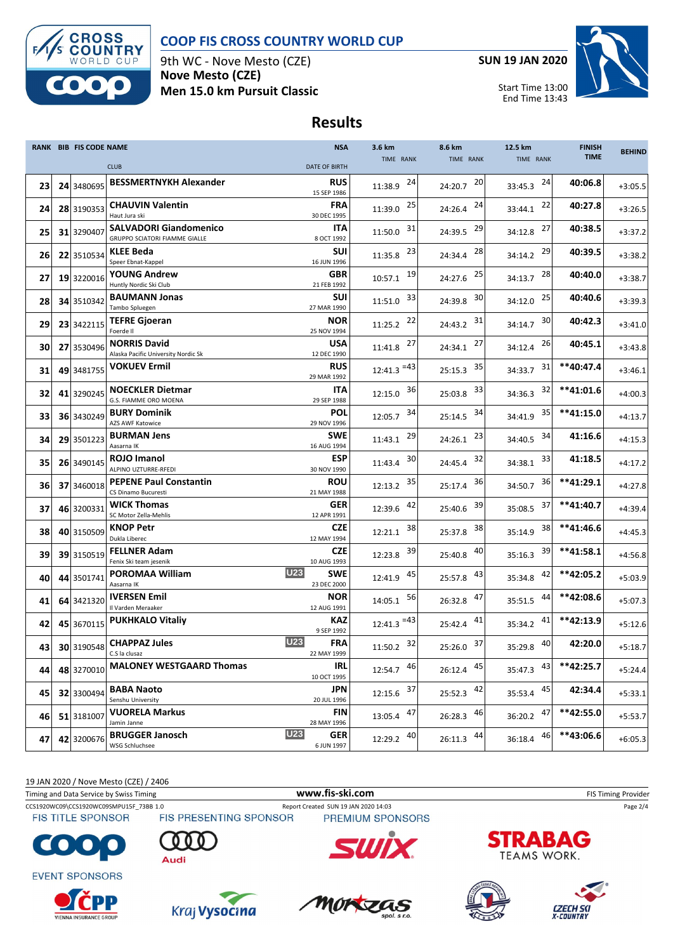

#### **COOP FIS CROSS COUNTRY WORLD CUP**

9th WC - Nove Mesto (CZE) **Nove Mesto (CZE) Men 15.0 km Pursuit Classic** **SUN 19 JAN 2020**



Start Time 13:00 End Time 13:43

### **Results**

|    | <b>RANK BIB FIS CODE NAME</b> |                                                                | <b>NSA</b>                              | 3.6 km                   | 8.6 km        | 12.5 km       | <b>FINISH</b> | <b>BEHIND</b> |
|----|-------------------------------|----------------------------------------------------------------|-----------------------------------------|--------------------------|---------------|---------------|---------------|---------------|
|    |                               | <b>CLUB</b>                                                    | <b>DATE OF BIRTH</b>                    | TIME RANK                | TIME RANK     | TIME RANK     | <b>TIME</b>   |               |
| 23 | 24 3480695                    | <b>BESSMERTNYKH Alexander</b>                                  | <b>RUS</b><br>15 SEP 1986               | 24<br>11:38.9            | 20<br>24:20.7 | 24<br>33:45.3 | 40:06.8       | $+3:05.5$     |
| 24 | 28 3190353                    | <b>CHAUVIN Valentin</b><br>Haut Jura ski                       | <b>FRA</b><br>30 DEC 1995               | 25<br>11:39.0            | 24<br>24:26.4 | 22<br>33:44.1 | 40:27.8       | $+3:26.5$     |
| 25 | 31 3290407                    | <b>SALVADORI Giandomenico</b><br>GRUPPO SCIATORI FIAMME GIALLE | ITA<br>8 OCT 1992                       | 31<br>11:50.0            | 29<br>24:39.5 | 27<br>34:12.8 | 40:38.5       | $+3:37.2$     |
| 26 | 22 3510534                    | <b>KLEE Beda</b><br>Speer Ebnat-Kappel                         | <b>SUI</b><br>16 JUN 1996               | 23<br>11:35.8            | 28<br>24:34.4 | 29<br>34:14.2 | 40:39.5       | $+3:38.2$     |
| 27 | 19 3220016                    | <b>YOUNG Andrew</b><br>Huntly Nordic Ski Club                  | GBR<br>21 FEB 1992                      | 19<br>10:57.1            | 25<br>24:27.6 | 28<br>34:13.7 | 40:40.0       | $+3:38.7$     |
| 28 | 34 3510342                    | <b>BAUMANN Jonas</b><br>Tambo Spluegen                         | <b>SUI</b><br>27 MAR 1990               | 33<br>11:51.0            | 30<br>24:39.8 | 25<br>34:12.0 | 40:40.6       | $+3:39.3$     |
| 29 | 23 3422115                    | <b>TEFRE Gjoeran</b><br>Foerde II                              | NOR<br>25 NOV 1994                      | 22<br>11:25.2            | 31<br>24:43.2 | 30<br>34:14.7 | 40:42.3       | $+3:41.0$     |
| 30 | 27 3530496                    | <b>NORRIS David</b><br>Alaska Pacific University Nordic Sk     | <b>USA</b><br>12 DEC 1990               | 27<br>11:41.8            | 27<br>24:34.1 | 26<br>34:12.4 | 40:45.1       | $+3:43.8$     |
| 31 | 49 3481755                    | <b>VOKUEV Ermil</b>                                            | RUS<br>29 MAR 1992                      | $12:41.3$ <sup>=43</sup> | 35<br>25:15.3 | 31<br>34:33.7 | **40:47.4     | $+3:46.1$     |
| 32 | 41 3290245                    | <b>NOECKLER Dietmar</b><br>G.S. FIAMME ORO MOENA               | <b>ITA</b><br>29 SEP 1988               | 36<br>12:15.0            | 33<br>25:03.8 | 32<br>34:36.3 | **41:01.6     | $+4:00.3$     |
| 33 | 36 3430249                    | <b>BURY Dominik</b><br>AZS AWF Katowice                        | <b>POL</b><br>29 NOV 1996               | 34<br>12:05.7            | 34<br>25:14.5 | 35<br>34:41.9 | **41:15.0     | $+4:13.7$     |
| 34 | 29 3501223                    | <b>BURMAN Jens</b><br>Aasarna IK                               | SWE<br>16 AUG 1994                      | 29<br>11:43.1            | 23<br>24:26.1 | 34<br>34:40.5 | 41:16.6       | $+4:15.3$     |
| 35 | 26 3490145                    | ROJO Imanol<br>ALPINO UZTURRE-RFEDI                            | <b>ESP</b><br>30 NOV 1990               | 30<br>11:43.4            | 32<br>24:45.4 | 33<br>34:38.1 | 41:18.5       | $+4:17.2$     |
| 36 | 37 3460018                    | <b>PEPENE Paul Constantin</b><br>CS Dinamo Bucuresti           | <b>ROU</b><br>21 MAY 1988               | 35<br>12:13.2            | 36<br>25:17.4 | 36<br>34:50.7 | **41:29.1     | $+4:27.8$     |
| 37 | 46 3200331                    | <b>WICK Thomas</b><br>SC Motor Zella-Mehlis                    | <b>GER</b><br>12 APR 1991               | 42<br>12:39.6            | 39<br>25:40.6 | 37<br>35:08.5 | **41:40.7     | $+4:39.4$     |
| 38 | 40 3150509                    | <b>KNOP Petr</b><br>Dukla Liberec                              | <b>CZE</b><br>12 MAY 1994               | 38<br>12:21.1            | 38<br>25:37.8 | 38<br>35:14.9 | **41:46.6     | $+4:45.3$     |
| 39 | 39 3150519                    | <b>FELLNER Adam</b><br>Fenix Ski team jesenik                  | <b>CZE</b><br>10 AUG 1993               | 39<br>12:23.8            | 40<br>25:40.8 | 39<br>35:16.3 | $**41:58.1$   | $+4:56.8$     |
| 40 | 44 3501741                    | POROMAA William<br>Aasarna IK                                  | U23<br><b>SWE</b><br>23 DEC 2000        | 45<br>12:41.9            | 43<br>25:57.8 | 42<br>35:34.8 | **42:05.2     | $+5:03.9$     |
| 41 | 64 3421320                    | <b>IVERSEN Emil</b><br>Il Varden Meraaker                      | NOR<br>12 AUG 1991                      | 56<br>14:05.1            | 47<br>26:32.8 | 44<br>35:51.5 | **42:08.6     | $+5:07.3$     |
| 42 | 45 3670115                    | <b>PUKHKALO Vitaliy</b>                                        | <b>KAZ</b><br>9 SEP 1992                | $12:41.3$ <sup>=43</sup> | 41<br>25:42.4 | 41<br>35:34.2 | **42:13.9     | $+5:12.6$     |
| 43 | 30 3190548                    | <b>CHAPPAZ Jules</b><br>C.S la clusaz                          | <b>U23</b><br><b>FRA</b><br>22 MAY 1999 | $11:50.2$ $32$           | 25:26.0 37    | 40<br>35:29.8 | 42:20.0       | $+5:18.7$     |
| 44 | 48 3270010                    | <b>MALONEY WESTGAARD Thomas</b>                                | IRL<br>10 OCT 1995                      | 46<br>12:54.7            | 26:12.4 45    | 43<br>35:47.3 | **42:25.7     | $+5:24.4$     |
| 45 | 32 3300494                    | <b>BABA Naoto</b><br>Senshu University                         | <b>JPN</b><br>20 JUL 1996               | $12:15.6$ 37             | 25:52.3 42    | 45<br>35:53.4 | 42:34.4       | $+5:33.1$     |
| 46 | 51 3181007                    | <b>VUORELA Markus</b><br>Jamin Janne                           | FIN<br>28 MAY 1996                      | $13:05.4$ $47$           | 46<br>26:28.3 | 47<br>36:20.2 | **42:55.0     | $+5:53.7$     |
| 47 | 42 3200676                    | <b>BRUGGER Janosch</b><br>WSG Schluchsee                       | <b>U23</b><br><b>GER</b><br>6 JUN 1997  | 40<br>12:29.2            | 44<br>26:11.3 | 46<br>36:18.4 | **43:06.6     | $+6:05.3$     |

19 JAN 2020 / Nove Mesto (CZE) / 2406

Timing and Data Service by Swiss Timing **WWW.fis-Ski.com WWW.fis-Ski.com** FIS Timing Provider

**FIS TITLE SPONSOR** 

CCS1920WC09\CCS1920WC09SMPU15F\_73BB 1.0 Report Created SUN 19 JAN 2020 14:03 Page 2/4<br>FIS TITLE SPONSOR FIS PRESENTING SPONSOR PREMIUM SPONSORS



**EVENT SPONSORS** 

















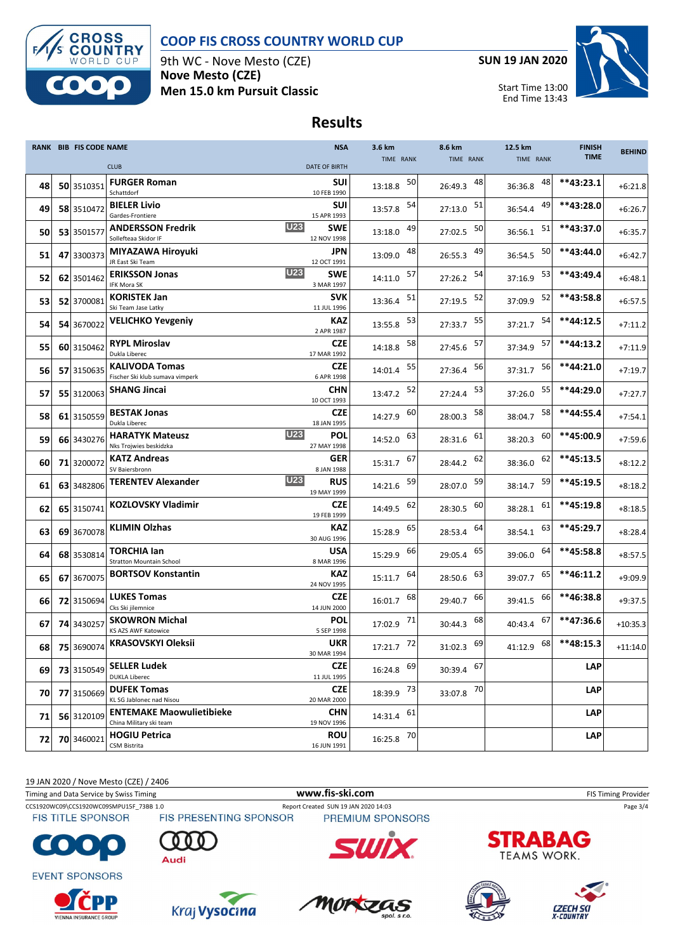

#### **COOP FIS CROSS COUNTRY WORLD CUP**

9th WC - Nove Mesto (CZE) **Nove Mesto (CZE) Men 15.0 km Pursuit Classic** **SUN 19 JAN 2020**

Start Time 13:00

End Time 13:43



# **Results**

|    | RANK BIB FIS CODE NAME |                                                            | <b>NSA</b>                              | 3.6 km        | 8.6 km        | 12.5 km       | <b>FINISH</b> | <b>BEHIND</b> |
|----|------------------------|------------------------------------------------------------|-----------------------------------------|---------------|---------------|---------------|---------------|---------------|
|    |                        | <b>CLUB</b>                                                | <b>DATE OF BIRTH</b>                    | TIME RANK     | TIME RANK     | TIME RANK     | <b>TIME</b>   |               |
| 48 | 50 3510351             | <b>FURGER Roman</b><br>Schattdorf                          | SUI<br>10 FEB 1990                      | 50<br>13:18.8 | 48<br>26:49.3 | 48<br>36:36.8 | $**43:23.1$   | $+6:21.8$     |
| 49 | 58 3510472             | <b>BIELER Livio</b><br>Gardes-Frontiere                    | SUI<br>15 APR 1993                      | 54<br>13:57.8 | 51<br>27:13.0 | 49<br>36:54.4 | **43:28.0     | $+6:26.7$     |
| 50 | 53 3501577             | <b>ANDERSSON Fredrik</b><br>Sollefteaa Skidor IF           | <b>U23</b><br><b>SWE</b><br>12 NOV 1998 | 49<br>13:18.0 | 50<br>27:02.5 | 51<br>36:56.1 | **43:37.0     | $+6:35.7$     |
| 51 | 47 3300373             | MIYAZAWA Hiroyuki<br>JR East Ski Team                      | JPN<br>12 OCT 1991                      | 48<br>13:09.0 | 49<br>26:55.3 | 50<br>36:54.5 | **43:44.0     | $+6:42.7$     |
| 52 | 62 3501462             | <b>ERIKSSON Jonas</b><br>IFK Mora SK                       | <b>U23</b><br><b>SWE</b><br>3 MAR 1997  | 57<br>14:11.0 | 54<br>27:26.2 | 53<br>37:16.9 | **43:49.4     | $+6:48.1$     |
| 53 | 52 3700081             | <b>KORISTEK Jan</b><br>Ski Team Jase Latky                 | <b>SVK</b><br>11 JUL 1996               | 51<br>13:36.4 | 52<br>27:19.5 | 52<br>37:09.9 | **43:58.8     | $+6:57.5$     |
| 54 | 54 3670022             | <b>VELICHKO Yevgeniy</b>                                   | KAZ<br>2 APR 1987                       | 53<br>13:55.8 | 55<br>27:33.7 | 54<br>37:21.7 | **44:12.5     | $+7:11.2$     |
| 55 | 60 3150462             | <b>RYPL Miroslav</b><br>Dukla Liberec                      | <b>CZE</b><br>17 MAR 1992               | 58<br>14:18.8 | 57<br>27:45.6 | 57<br>37:34.9 | **44:13.2     | $+7:11.9$     |
| 56 | 57 3150635             | <b>KALIVODA Tomas</b><br>Fischer Ski klub sumava vimperk   | CZE<br>6 APR 1998                       | 55<br>14:01.4 | 56<br>27:36.4 | 56<br>37:31.7 | **44:21.0     | $+7:19.7$     |
| 57 | 55 3120063             | <b>SHANG Jincai</b>                                        | <b>CHN</b><br>10 OCT 1993               | 52<br>13:47.2 | 53<br>27:24.4 | 55<br>37:26.0 | **44:29.0     | $+7:27.7$     |
| 58 | 61 3150559             | <b>BESTAK Jonas</b><br>Dukla Liberec                       | CZE<br>18 JAN 1995                      | 60<br>14:27.9 | 58<br>28:00.3 | 58<br>38:04.7 | **44:55.4     | $+7:54.1$     |
| 59 | 66 3430276             | <b>HARATYK Mateusz</b><br>Nks Trojwies beskidzka           | <b>U23</b><br>POL<br>27 MAY 1998        | 63<br>14:52.0 | 61<br>28:31.6 | 60<br>38:20.3 | **45:00.9     | $+7:59.6$     |
| 60 | 71 3200072             | <b>KATZ Andreas</b><br>SV Baiersbronn                      | GER<br>8 JAN 1988                       | 67<br>15:31.7 | 62<br>28:44.2 | 62<br>38:36.0 | **45:13.5     | $+8:12.2$     |
| 61 | 63 3482806             | <b>TERENTEV Alexander</b>                                  | <b>U23</b><br>RUS<br>19 MAY 1999        | 59<br>14:21.6 | 59<br>28:07.0 | 59<br>38:14.7 | **45:19.5     | $+8:18.2$     |
| 62 | 65 3150741             | <b>KOZLOVSKY Vladimir</b>                                  | CZE<br>19 FEB 1999                      | 62<br>14:49.5 | 60<br>28:30.5 | 61<br>38:28.1 | **45:19.8     | $+8:18.5$     |
| 63 | 69 3670078             | <b>KLIMIN Olzhas</b>                                       | <b>KAZ</b><br>30 AUG 1996               | 65<br>15:28.9 | 64<br>28:53.4 | 63<br>38:54.1 | **45:29.7     | $+8:28.4$     |
| 64 | 68 3530814             | <b>TORCHIA lan</b><br>Stratton Mountain School             | <b>USA</b><br>8 MAR 1996                | 66<br>15:29.9 | 65<br>29:05.4 | 64<br>39:06.0 | **45:58.8     | $+8:57.5$     |
| 65 | 67 3670075             | <b>BORTSOV Konstantin</b>                                  | <b>KAZ</b><br>24 NOV 1995               | 64<br>15:11.7 | 63<br>28:50.6 | 65<br>39:07.7 | $**46:11.2$   | $+9:09.9$     |
| 66 | 72 3150694             | <b>LUKES Tomas</b><br>Cks Ski jilemnice                    | CZE<br>14 JUN 2000                      | 68<br>16:01.7 | 66<br>29:40.7 | 66<br>39:41.5 | **46:38.8     | $+9:37.5$     |
| 67 | 74 3430257             | <b>SKOWRON Michal</b><br><b>KS AZS AWF Katowice</b>        | POL<br>5 SEP 1998                       | 17:02.9 71    | 68<br>30:44.3 | 67<br>40:43.4 | **47:36.6     | $+10:35.3$    |
| 68 | 75 3690074             | <b>KRASOVSKYI Oleksii</b>                                  | <b>UKR</b><br>30 MAR 1994               | 17:21.7 72    | 69<br>31:02.3 | 68<br>41:12.9 | **48:15.3     | $+11:14.0$    |
| 69 | 73 3150549             | <b>SELLER Ludek</b><br><b>DUKLA Liberec</b>                | <b>CZE</b><br>11 JUL 1995               | 16:24.8 69    | 30:39.4 67    |               | <b>LAP</b>    |               |
| 70 | 77 3150669             | <b>DUFEK Tomas</b><br>KL SG Jablonec nad Nisou             | <b>CZE</b><br>20 MAR 2000               | 18:39.9 73    | 33:07.8 70    |               | <b>LAP</b>    |               |
| 71 | 56 3120109             | <b>ENTEMAKE Maowulietibieke</b><br>China Military ski team | <b>CHN</b><br>19 NOV 1996               | 14:31.4 61    |               |               | <b>LAP</b>    |               |
| 72 | 70 3460021             | <b>HOGIU Petrica</b><br>CSM Bistrita                       | <b>ROU</b><br>16 JUN 1991               | 16:25.8 70    |               |               | LAP           |               |

19 JAN 2020 / Nove Mesto (CZE) / 2406

Timing and Data Service by Swiss Timing **WWW.fis-Ski.com WWW.fis-Ski.com** FIS Timing Provider

CCS1920WC09\CCS1920WC09SMPU15F\_73BB 1.0 Report Created SUN 19 JAN 2020 14:03 Page 3/4<br>FIS TITLE SPONSOR FIS PRESENTING SPONSOR PREMIUM SPONSORS

**FIS TITLE SPONSOR** 

**EVENT SPONSORS** 

 $\bullet$